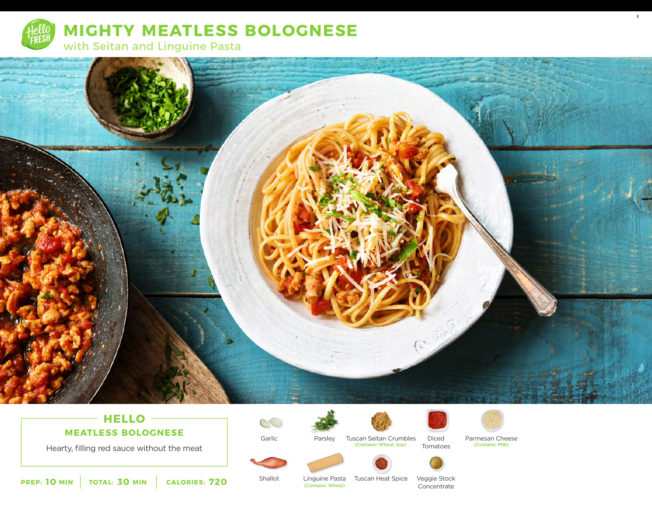



# $-$  **HELLO**  $-$ **MEATLESS BOLOGNESE**

Hearty, filling red sauce without the meat

 $\circlearrowright$ 

Garlic





Parsley Tuscan Seitan Crumbles Diced Parmesan Cheese<br>
(Contains: Wheat, Soy) Tomatoos (Contains: Milk) (Contains: Wheat, Soy)



8

**10** MIN | TOTAL: 30 MIN | CALORIES: 720

Shallot

Linguine Pasta Tuscan Heat Spice Veggie Stock (Contains: Wheat)

Concentrate